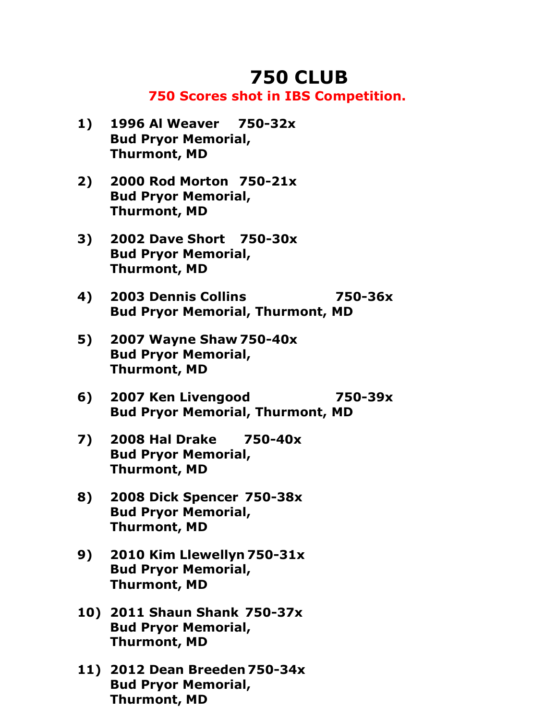## **750 CLUB**

## **750 Scores shot in IBS Competition.**

- **1) 1996 Al Weaver 750-32x Bud Pryor Memorial, Thurmont, MD**
- **2) 2000 Rod Morton 750-21x Bud Pryor Memorial, Thurmont, MD**
- **3) 2002 Dave Short 750-30x Bud Pryor Memorial, Thurmont, MD**
- **4) 2003 Dennis Collins 750-36x Bud Pryor Memorial, Thurmont, MD**
- **5) 2007 Wayne Shaw 750-40x Bud Pryor Memorial, Thurmont, MD**
- **6) 2007 Ken Livengood 750-39x Bud Pryor Memorial, Thurmont, MD**
- **7) 2008 Hal Drake 750-40x Bud Pryor Memorial, Thurmont, MD**
- **8) 2008 Dick Spencer 750-38x Bud Pryor Memorial, Thurmont, MD**
- **9) 2010 Kim Llewellyn 750-31x Bud Pryor Memorial, Thurmont, MD**
- **10) 2011 Shaun Shank 750-37x Bud Pryor Memorial, Thurmont, MD**
- **11) 2012 Dean Breeden 750-34x Bud Pryor Memorial, Thurmont, MD**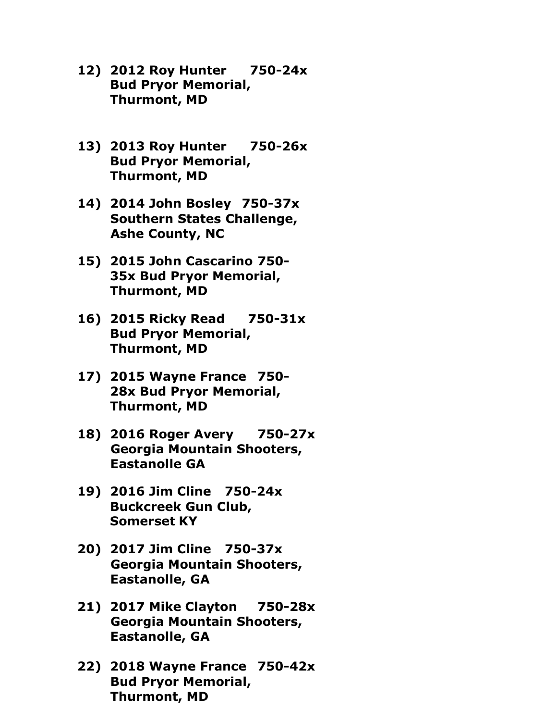- **12) 2012 Roy Hunter 750-24x Bud Pryor Memorial, Thurmont, MD**
- **13) 2013 Roy Hunter 750-26x Bud Pryor Memorial, Thurmont, MD**
- **14) 2014 John Bosley 750-37x Southern States Challenge, Ashe County, NC**
- **15) 2015 John Cascarino 750- 35x Bud Pryor Memorial, Thurmont, MD**
- **16) 2015 Ricky Read 750-31x Bud Pryor Memorial, Thurmont, MD**
- **17) 2015 Wayne France 750- 28x Bud Pryor Memorial, Thurmont, MD**
- **18) 2016 Roger Avery 750-27x Georgia Mountain Shooters, Eastanolle GA**
- **19) 2016 Jim Cline 750-24x Buckcreek Gun Club, Somerset KY**
- **20) 2017 Jim Cline 750-37x Georgia Mountain Shooters, Eastanolle, GA**
- **21) 2017 Mike Clayton 750-28x Georgia Mountain Shooters, Eastanolle, GA**
- **22) 2018 Wayne France 750-42x Bud Pryor Memorial, Thurmont, MD**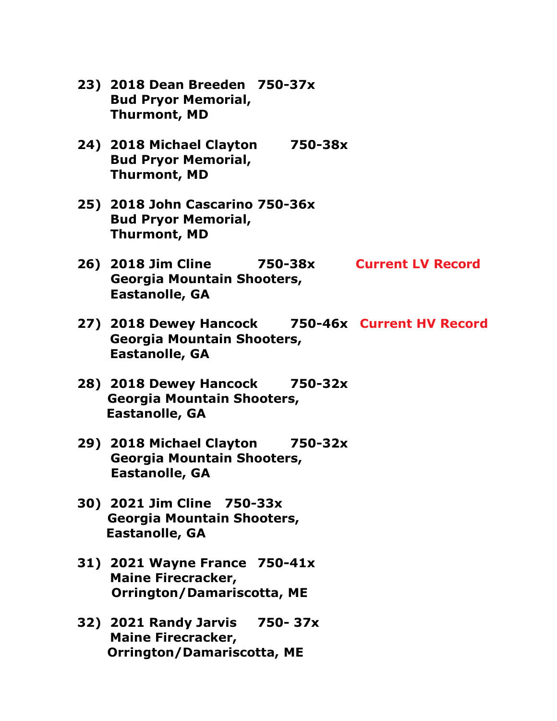- **23) 2018 Dean Breeden 750-37x Bud Pryor Memorial, Thurmont, MD**
- **24) 2018 Michael Clayton 750-38x Bud Pryor Memorial, Thurmont, MD**
- **25) 2018 John Cascarino 750-36x Bud Pryor Memorial, Thurmont, MD**
- **26) 2018 Jim Cline 750-38x Current LV Record Georgia Mountain Shooters, Eastanolle, GA**
- **27) 2018 Dewey Hancock 750-46x Current HV Record Georgia Mountain Shooters, Eastanolle, GA**
- **28) 2018 Dewey Hancock 750-32x Georgia Mountain Shooters, Eastanolle, GA**
- **29) 2018 Michael Clayton 750-32x Georgia Mountain Shooters, Eastanolle, GA**
- **30) 2021 Jim Cline 750-33x Georgia Mountain Shooters, Eastanolle, GA**
- **31) 2021 Wayne France 750-41x Maine Firecracker, Orrington/Damariscotta, ME**
- **32) 2021 Randy Jarvis 750- 37x Maine Firecracker, Orrington/Damariscotta, ME**